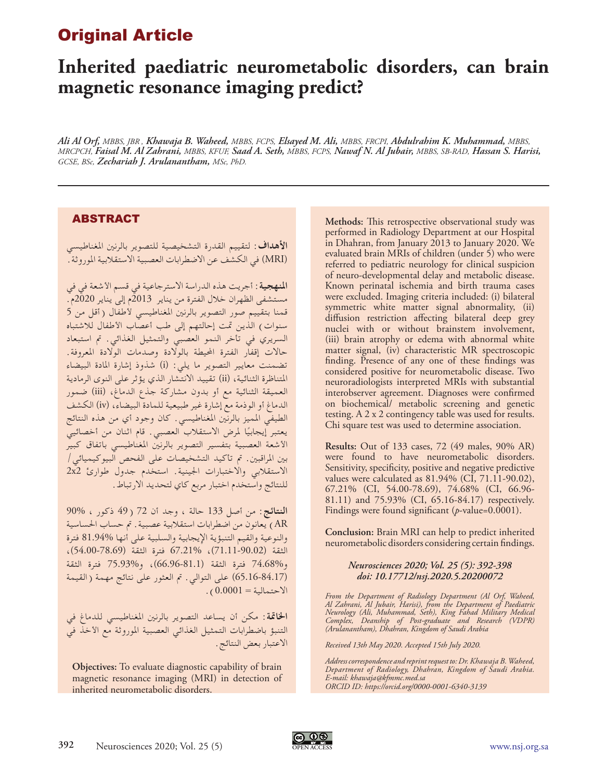## Original Article

# **Inherited paediatric neurometabolic disorders, can brain magnetic resonance imaging predict?**

*Ali Al Orf, MBBS, JBR , Khawaja B. Waheed, MBBS, FCPS, Elsayed M. Ali, MBBS, FRCPI, Abdulrahim K. Muhammad, MBBS, MRCPCH, Faisal M. Al Zahrani, MBBS, KFUF, Saad A. Seth, MBBS, FCPS, Nawaf N. Al Jubair, MBBS, SB-RAD, Hassan S. Harisi, GCSE, BSc, Zechariah J. Arulanantham, MSc, PhD.*

### ABSTRACT

**األهداف:** لتقييم القدرة التشخيصية للتصوير بالرنني املغناطيسي )MRI )في الكشف عن االضطرابات العصبية االستقالبية املوروثة.

**املنهجية:** أجريت هذه الدراسة االسترجاعية في قسم األشعة في في مستشفى الظهران خالل الفترة من يناير 2013م إلى يناير 2020م. قمنا بتقييم صور التصوير بالرنين المغناطيسي لأطفال (أقل من 5 سنوات) الذين تمت إحالتهم إلى طب أعصاب الأطفال للاشتباه السريري في تأخر النمو العصبي والتمثيل الغذائي. مت استبعاد حاالت إقفار الفترة احمليطة بالوالدة وصدمات الوالدة املعروفة. تضمنت معايير التصوير ما يلي: (i) شذوذ إشارة المادة البيضاء المتناظرة الثنائية، (ii) تقييد الانتشار الذي يؤثر على النوى الرمادية العميقة الثنائية مع أو بدون مشاركة جذع الدماغ، (iii) ضمور الدماغ أو الوذمة مع إشارة غير طبيعية للمادة البيضاء، )iv )الكشف الطيفي املميز بالرنني املغناطيسي. كان وجود أي من هذه النتائج يعتبر إيجابيًا لمرض الاستقلاب العصبي. قام اثنان من أخصائيي<br>... الأشعة العصبية بتفسير التصوير بالرنين المغناطيسي باتفاق كبير بني املراقبني. مت تأكيد التشخيصات على الفحص البيوكيميائي/ االستقالبي واالختبارات اجلينية. استخدم جدول طوارئ 2x2 للنتائج واستخدم اختبار مربع كاي لتحديد االرتباط.

**النتائج:** من أصل 133 حالة ، وجد أن 72 )49 ذكور ، 90% AR )يعانون من اضطرابات استقالبية عصبية. مت حساب احلساسية والنوعية والقيم التنبؤية اإليجابية والسلبية على أنها 81.94% فترة الثقة )71.11-90.02(، 67.21% فترة الثقة )54.00-78.69(، و74.68% فترة الثقة )66.96-81.1(، و75.93% فترة الثقة (65.16-84.17) على التوالي. تم العثور على نتائج مهمة (القيمة  $(0.0001)$  -  $\epsilon$ 

**اخلامتة:** مكن أن يساعد التصوير بالرنني املغناطيسي للدماغ في التنبؤ باضطرابات التمثيل الغذائي العصبية املوروثة مع األخذ في االعتبار بعض النتائج.

**Objectives:** To evaluate diagnostic capability of brain magnetic resonance imaging (MRI) in detection of inherited neurometabolic disorders.

**Methods:** This retrospective observational study was performed in Radiology Department at our Hospital in Dhahran, from January 2013 to January 2020. We evaluated brain MRIs of children (under 5) who were referred to pediatric neurology for clinical suspicion of neuro-developmental delay and metabolic disease. Known perinatal ischemia and birth trauma cases were excluded. Imaging criteria included: (i) bilateral symmetric white matter signal abnormality, (ii) diffusion restriction affecting bilateral deep grey nuclei with or without brainstem involvement, (iii) brain atrophy or edema with abnormal white matter signal, (iv) characteristic MR spectroscopic finding. Presence of any one of these findings was considered positive for neurometabolic disease. Two neuroradiologists interpreted MRIs with substantial interobserver agreement. Diagnoses were confirmed on biochemical/ metabolic screening and genetic testing. A 2 x 2 contingency table was used for results. Chi square test was used to determine association.

**Results:** Out of 133 cases, 72 (49 males, 90% AR) were found to have neurometabolic disorders. Sensitivity, specificity, positive and negative predictive values were calculated as 81.94% (CI, 71.11-90.02), 67.21% (CI, 54.00-78.69), 74.68% (CI, 66.96- 81.11) and 75.93% (CI, 65.16-84.17) respectively. Findings were found significant (*p*-value=0.0001).

**Conclusion:** Brain MRI can help to predict inherited neurometabolic disorders considering certain findings.

#### *Neurosciences 2020; Vol. 25 (5): 392-398 doi: 10.17712/nsj.2020.5.20200072*

*From the Department of Radiology Department (Al Orf, Waheed, Al Zahrani, Al Jubair, Harisi), from the Department of Paediatric Neurology (Ali, Muhammad, Seth), King Fahad Military Medical Complex, Deanship of Post-graduate and Research (VDPR) (Arulanantham), Dhahran, Kingdom of Saudi Arabia*

*Received 13th May 2020. Accepted 15th July 2020.*

*Address correspondence and reprint request to: Dr. Khawaja B. Waheed, Department of Radiology, Dhahran, Kingdom of Saudi Arabia. E-mail: khawaja@kfmmc.med.sa ORCID ID: https://orcid.org/0000-0001-6340-3139*

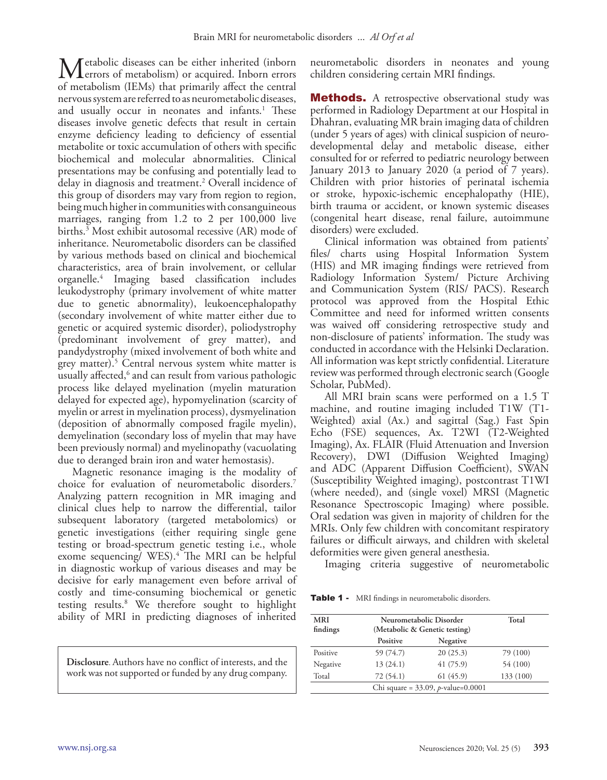Metabolic diseases can be either inherited (inborn<br>
of metabolism (IEMs) that primarily affect the central of metabolism (IEMs) that primarily affect the central nervous system are referred to as neurometabolic diseases, and usually occur in neonates and infants.<sup>1</sup> These diseases involve genetic defects that result in certain enzyme deficiency leading to deficiency of essential metabolite or toxic accumulation of others with specific biochemical and molecular abnormalities. Clinical presentations may be confusing and potentially lead to delay in diagnosis and treatment.2 Overall incidence of this group of disorders may vary from region to region, being much higher in communities with consanguineous marriages, ranging from 1.2 to 2 per 100,000 live births.3 Most exhibit autosomal recessive (AR) mode of inheritance. Neurometabolic disorders can be classified by various methods based on clinical and biochemical characteristics, area of brain involvement, or cellular organelle.4 Imaging based classification includes leukodystrophy (primary involvement of white matter due to genetic abnormality), leukoencephalopathy (secondary involvement of white matter either due to genetic or acquired systemic disorder), poliodystrophy (predominant involvement of grey matter), and pandydystrophy (mixed involvement of both white and grey matter). 5 Central nervous system white matter is usually affected,<sup>6</sup> and can result from various pathologic process like delayed myelination (myelin maturation delayed for expected age), hypomyelination (scarcity of myelin or arrest in myelination process), dysmyelination (deposition of abnormally composed fragile myelin), demyelination (secondary loss of myelin that may have been previously normal) and myelinopathy (vacuolating due to deranged brain iron and water hemostasis).

Magnetic resonance imaging is the modality of choice for evaluation of neurometabolic disorders.7 Analyzing pattern recognition in MR imaging and clinical clues help to narrow the differential, tailor subsequent laboratory (targeted metabolomics) or genetic investigations (either requiring single gene testing or broad-spectrum genetic testing i.e., whole exome sequencing/ WES). 4 The MRI can be helpful in diagnostic workup of various diseases and may be decisive for early management even before arrival of costly and time-consuming biochemical or genetic testing results.8 We therefore sought to highlight ability of MRI in predicting diagnoses of inherited

**Disclosure**. Authors have no conflict of interests, and the work was not supported or funded by any drug company.

neurometabolic disorders in neonates and young children considering certain MRI findings.

**Methods.** A retrospective observational study was performed in Radiology Department at our Hospital in Dhahran, evaluating MR brain imaging data of children (under 5 years of ages) with clinical suspicion of neurodevelopmental delay and metabolic disease, either consulted for or referred to pediatric neurology between January 2013 to January 2020 (a period of 7 years). Children with prior histories of perinatal ischemia or stroke, hypoxic-ischemic encephalopathy (HIE), birth trauma or accident, or known systemic diseases (congenital heart disease, renal failure, autoimmune disorders) were excluded.

Clinical information was obtained from patients' files/ charts using Hospital Information System (HIS) and MR imaging findings were retrieved from Radiology Information System/ Picture Archiving and Communication System (RIS/ PACS). Research protocol was approved from the Hospital Ethic Committee and need for informed written consents was waived off considering retrospective study and non-disclosure of patients' information. The study was conducted in accordance with the Helsinki Declaration. All information was kept strictly confidential. Literature review was performed through electronic search (Google Scholar, PubMed).

All MRI brain scans were performed on a 1.5 T machine, and routine imaging included T1W (T1- Weighted) axial (Ax.) and sagittal (Sag.) Fast Spin Echo (FSE) sequences, Ax. T2WI (T2-Weighted Imaging), Ax. FLAIR (Fluid Attenuation and Inversion Recovery), DWI (Diffusion Weighted Imaging) and ADC (Apparent Diffusion Coefficient), SWAN (Susceptibility Weighted imaging), postcontrast T1WI (where needed), and (single voxel) MRSI (Magnetic Resonance Spectroscopic Imaging) where possible. Oral sedation was given in majority of children for the MRIs. Only few children with concomitant respiratory failures or difficult airways, and children with skeletal deformities were given general anesthesia.

Imaging criteria suggestive of neurometabolic

Table 1 - MRI findings in neurometabolic disorders.

| <b>MRI</b><br>findings                           | Neurometabolic Disorder<br>(Metabolic & Genetic testing) | Total    |           |  |  |  |
|--------------------------------------------------|----------------------------------------------------------|----------|-----------|--|--|--|
|                                                  | Positive                                                 | Negative |           |  |  |  |
| Positive                                         | 59 (74.7)                                                | 20(25.3) | 79 (100)  |  |  |  |
| Negative                                         | 13(24.1)                                                 | 41(75.9) | 54 (100)  |  |  |  |
| Total                                            | 72(54.1)                                                 | 61(45.9) | 133 (100) |  |  |  |
| Chi square = $33.09$ , <i>p</i> -value= $0.0001$ |                                                          |          |           |  |  |  |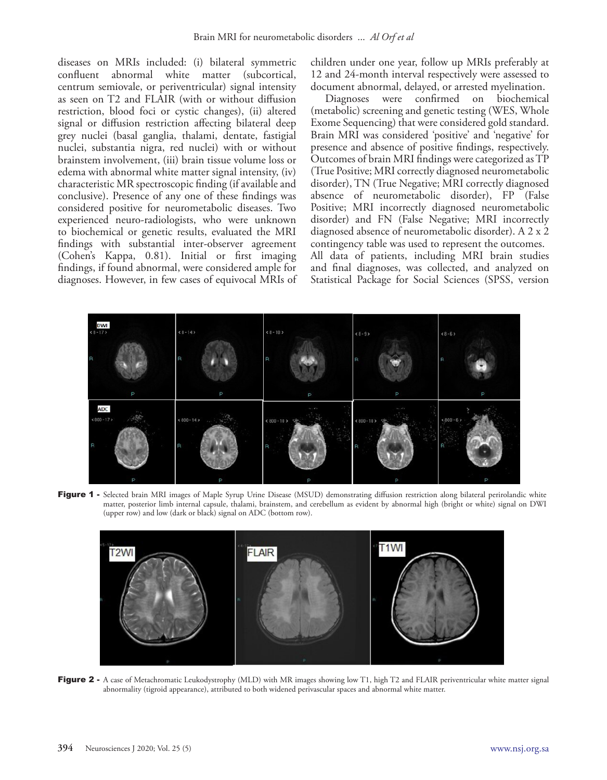diseases on MRIs included: (i) bilateral symmetric confluent abnormal white matter centrum semiovale, or periventricular) signal intensity as seen on T2 and FLAIR (with or without diffusion restriction, blood foci or cystic changes), (ii) altered signal or diffusion restriction affecting bilateral deep grey nuclei (basal ganglia, thalami, dentate, fastigial nuclei, substantia nigra, red nuclei) with or without brainstem involvement, (iii) brain tissue volume loss or edema with abnormal white matter signal intensity, (iv) characteristic MR spectroscopic finding (if available and conclusive). Presence of any one of these findings was considered positive for neurometabolic diseases. Two experienced neuro-radiologists, who were unknown to biochemical or genetic results, evaluated the MRI findings with substantial inter-observer agreement (Cohen's Kappa, 0.81). Initial or first imaging findings, if found abnormal, were considered ample for diagnoses. However, in few cases of equivocal MRIs of children under one year, follow up MRIs preferably at 12 and 24-month interval respectively were assessed to document abnormal, delayed, or arrested myelination.

Diagnoses were confirmed on biochemical (metabolic) screening and genetic testing (WES, Whole Exome Sequencing) that were considered gold standard. Brain MRI was considered 'positive' and 'negative' for presence and absence of positive findings, respectively. Outcomes of brain MRI findings were categorized as TP (True Positive; MRI correctly diagnosed neurometabolic disorder), TN (True Negative; MRI correctly diagnosed absence of neurometabolic disorder), FP (False Positive; MRI incorrectly diagnosed neurometabolic disorder) and FN (False Negative; MRI incorrectly diagnosed absence of neurometabolic disorder). A 2 x 2 contingency table was used to represent the outcomes. All data of patients, including MRI brain studies and final diagnoses, was collected, and analyzed on Statistical Package for Social Sciences (SPSS, version



Figure 1 - Selected brain MRI images of Maple Syrup Urine Disease (MSUD) demonstrating diffusion restriction along bilateral perirolandic white matter, posterior limb internal capsule, thalami, brainstem, and cerebellum as evident by abnormal high (bright or white) signal on DWI (upper row) and low (dark or black) signal on ADC (bottom row).



Figure 2 - A case of Metachromatic Leukodystrophy (MLD) with MR images showing low T1, high T2 and FLAIR periventricular white matter signal abnormality (tigroid appearance), attributed to both widened perivascular spaces and abnormal white matter.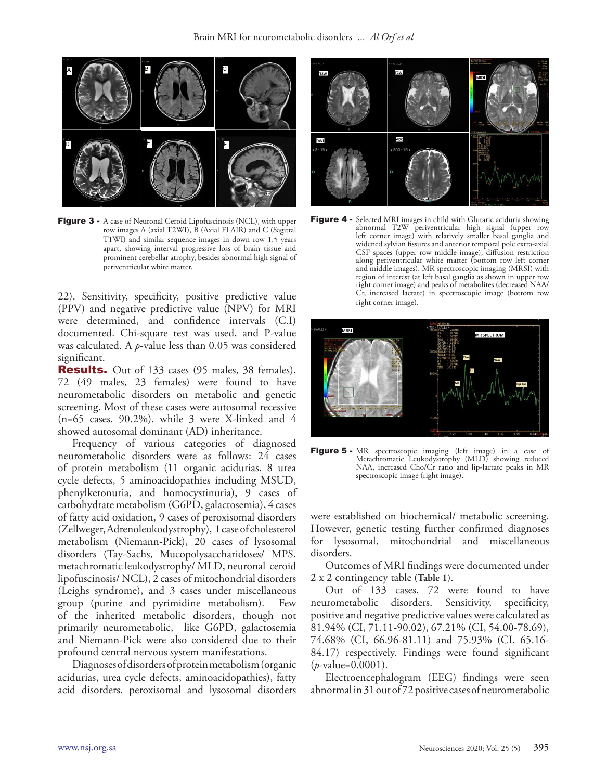

Figure 3 - A case of Neuronal Ceroid Lipofuscinosis (NCL), with upper row images A (axial T2WI), B (Axial FLAIR) and C (Sagittal T1WI) and similar sequence images in down row 1.5 years apart, showing interval progressive loss of brain tissue and prominent cerebellar atrophy, besides abnormal high signal of periventricular white matter.

22). Sensitivity, specificity, positive predictive value (PPV) and negative predictive value (NPV) for MRI were determined, and confidence intervals (C.I) documented. Chi-square test was used, and P-value was calculated. A *p*-value less than 0.05 was considered significant.

**Results.** Out of 133 cases (95 males, 38 females), 72 (49 males, 23 females) were found to have neurometabolic disorders on metabolic and genetic screening. Most of these cases were autosomal recessive  $(n=65 \text{ cases}, 90.2\%)$ , while 3 were X-linked and 4 showed autosomal dominant (AD) inheritance.

Frequency of various categories of diagnosed neurometabolic disorders were as follows: 24 cases of protein metabolism (11 organic acidurias, 8 urea cycle defects, 5 aminoacidopathies including MSUD, phenylketonuria, and homocystinuria), 9 cases of carbohydrate metabolism (G6PD, galactosemia), 4 cases of fatty acid oxidation, 9 cases of peroxisomal disorders (Zellweger, Adrenoleukodystrophy), 1 case of cholesterol metabolism (Niemann-Pick), 20 cases of lysosomal disorders (Tay-Sachs, Mucopolysaccharidoses/ MPS, metachromatic leukodystrophy/ MLD, neuronal ceroid lipofuscinosis/ NCL), 2 cases of mitochondrial disorders (Leighs syndrome), and 3 cases under miscellaneous group (purine and pyrimidine metabolism). Few group (purine and pyrimidine metabolism). of the inherited metabolic disorders, though not primarily neurometabolic, like G6PD, galactosemia and Niemann-Pick were also considered due to their profound central nervous system manifestations.

Diagnoses of disorders of protein metabolism (organic acidurias, urea cycle defects, aminoacidopathies), fatty acid disorders, peroxisomal and lysosomal disorders



Figure 4 - Selected MRI images in child with Glutaric aciduria showing abnormal T2W periventricular high signal (upper row left corner image) with relatively smaller basal ganglia and widened sylvian fissures and anterior temporal pole extra-axial CSF spaces (upper row middle image), diffusion restriction along periventricular white matter (bottom row left corner and middle images). MR spectroscopic imaging (MRSI) with region of interest (at left basal ganglia as shown in upper row right corner image) and peaks of metabolites (decreased NAA/ Cr, increased lactate) in spectroscopic image (bottom row right corner image).



Figure 5 - MR spectroscopic imaging (left image) in a case of Metachromatic Leukodystrophy (MLD) showing reduced NAA, increased Cho/Cr ratio and lip-lactate peaks in MR spectroscopic image (right image).

were established on biochemical/ metabolic screening. However, genetic testing further confirmed diagnoses for lysosomal, mitochondrial and miscellaneous disorders.

Outcomes of MRI findings were documented under 2 x 2 contingency table **(Table 1)**.

Out of 133 cases, 72 were found to have neurometabolic disorders. Sensitivity, specificity, positive and negative predictive values were calculated as 81.94% (CI, 71.11-90.02), 67.21% (CI, 54.00-78.69), 74.68% (CI, 66.96-81.11) and 75.93% (CI, 65.16- 84.17) respectively. Findings were found significant (*p*-value=0.0001).

Electroencephalogram (EEG) findings were seen abnormal in 31 out of 72 positive cases of neurometabolic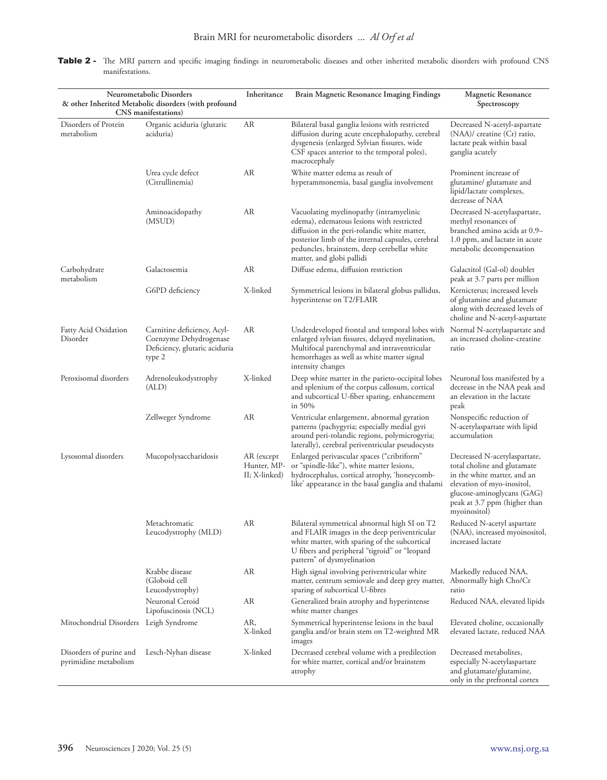| Table 2 - The MRI pattern and specific imaging findings in neurometabolic diseases and other inherited metabolic disorders with profound CNS |  |  |  |  |  |  |
|----------------------------------------------------------------------------------------------------------------------------------------------|--|--|--|--|--|--|
| manifestations.                                                                                                                              |  |  |  |  |  |  |

| Neurometabolic Disorders<br>& other Inherited Metabolic disorders (with profound<br>CNS manifestations) |                                                                                                  | Inheritance                                | Brain Magnetic Resonance Imaging Findings                                                                                                                                                                                                                             | <b>Magnetic Resonance</b><br>Spectroscopy                                                                                                                                                              |  |
|---------------------------------------------------------------------------------------------------------|--------------------------------------------------------------------------------------------------|--------------------------------------------|-----------------------------------------------------------------------------------------------------------------------------------------------------------------------------------------------------------------------------------------------------------------------|--------------------------------------------------------------------------------------------------------------------------------------------------------------------------------------------------------|--|
| Disorders of Protein<br>metabolism                                                                      | Organic aciduria (glutaric<br>aciduria)                                                          | AR                                         | Bilateral basal ganglia lesions with restricted<br>diffusion during acute encephalopathy, cerebral<br>dysgenesis (enlarged Sylvian fissures, wide<br>CSF spaces anterior to the temporal poles),<br>macrocephaly                                                      | Decreased N-acetyl-aspartate<br>(NAA)/ creatine (Cr) ratio,<br>lactate peak within basal<br>ganglia acutely                                                                                            |  |
|                                                                                                         | Urea cycle defect<br>(Citrullinemia)                                                             | AR                                         | White matter edema as result of<br>hyperammonemia, basal ganglia involvement                                                                                                                                                                                          | Prominent increase of<br>glutamine/ glutamate and<br>lipid/lactate complexes,<br>decrease of NAA                                                                                                       |  |
|                                                                                                         | Aminoacidopathy<br>(MSUD)                                                                        | AR                                         | Vacuolating myelinopathy (intramyelinic<br>edema), edematous lesions with restricted<br>diffusion in the peri-rolandic white matter,<br>posterior limb of the internal capsules, cerebral<br>peduncles, brainstem, deep cerebellar white<br>matter, and globi pallidi | Decreased N-acetylaspartate,<br>methyl resonances of<br>branched amino acids at 0.9-<br>1.0 ppm, and lactate in acute<br>metabolic decompensation                                                      |  |
| Carbohydrate<br>metabolism                                                                              | Galactosemia                                                                                     | AR                                         | Diffuse edema, diffusion restriction                                                                                                                                                                                                                                  | Galactitol (Gal-ol) doublet<br>peak at 3.7 parts per million                                                                                                                                           |  |
|                                                                                                         | G6PD deficiency                                                                                  | X-linked                                   | Symmetrical lesions in bilateral globus pallidus,<br>hyperintense on T2/FLAIR                                                                                                                                                                                         | Kernicterus; increased levels<br>of glutamine and glutamate<br>along with decreased levels of<br>choline and N-acetyl-aspartate                                                                        |  |
| Fatty Acid Oxidation<br>Disorder                                                                        | Carnitine deficiency, Acyl-<br>Coenzyme Dehydrogenase<br>Deficiency, glutaric aciduria<br>type 2 | AR                                         | Underdeveloped frontal and temporal lobes with<br>enlarged sylvian fissures, delayed myelination,<br>Multifocal parenchymal and intraventricular<br>hemorrhages as well as white matter signal<br>intensity changes                                                   | Normal N-acetylaspartate and<br>an increased choline-creatine<br>ratio                                                                                                                                 |  |
| Peroxisomal disorders                                                                                   | Adrenoleukodystrophy<br>(ALD)                                                                    | X-linked                                   | Deep white matter in the parieto-occipital lobes<br>and splenium of the corpus callosum, cortical<br>and subcortical U-fiber sparing, enhancement<br>in $50\%$                                                                                                        | Neuronal loss manifested by a<br>decrease in the NAA peak and<br>an elevation in the lactate<br>peak                                                                                                   |  |
|                                                                                                         | Zellweger Syndrome                                                                               | AR                                         | Ventricular enlargement, abnormal gyration<br>patterns (pachygyria; especially medial gyri<br>around peri-rolandic regions, polymicrogyria;<br>laterally), cerebral periventricular pseudocysts                                                                       | Nonspecific reduction of<br>N-acetylaspartate with lipid<br>accumulation                                                                                                                               |  |
| Lysosomal disorders                                                                                     | Mucopolysaccharidosis                                                                            | AR (except<br>Hunter, MP-<br>II; X-linked) | Enlarged perivascular spaces ("cribriform"<br>or "spindle-like"), white matter lesions,<br>hydrocephalus, cortical atrophy, 'honeycomb-<br>like' appearance in the basal ganglia and thalami                                                                          | Decreased N-acetylaspartate,<br>total choline and glutamate<br>in the white matter, and an<br>elevation of myo-inositol,<br>glucose-aminoglycans (GAG)<br>peak at 3.7 ppm (higher than<br>myoinositol) |  |
|                                                                                                         | Metachromatic<br>Leucodystrophy (MLD)                                                            | AR                                         | Bilateral symmetrical abnormal high SI on T2<br>and FLAIR images in the deep periventricular<br>white matter, with sparing of the subcortical<br>U fibers and peripheral "tigroid" or "leopard<br>pattern" of dysmyelination                                          | Reduced N-acetyl aspartate<br>(NAA), increased myoinositol,<br>increased lactate                                                                                                                       |  |
|                                                                                                         | Krabbe disease<br>(Globoid cell<br>Leucodystrophy)                                               | <b>AR</b>                                  | High signal involving periventricular white<br>matter, centrum semiovale and deep grey matter,<br>sparing of subcortical U-fibres                                                                                                                                     | Markedly reduced NAA,<br>Abnormally high Cho/Cr<br>ratio                                                                                                                                               |  |
|                                                                                                         | Neuronal Ceroid<br>Lipofuscinosis (NCL)                                                          | AR                                         | Generalized brain atrophy and hyperintense<br>white matter changes                                                                                                                                                                                                    | Reduced NAA, elevated lipids                                                                                                                                                                           |  |
| Mitochondrial Disorders Leigh Syndrome                                                                  |                                                                                                  | AR,<br>X-linked                            | Symmetrical hyperintense lesions in the basal<br>ganglia and/or brain stem on T2-weighted MR<br>images                                                                                                                                                                | Elevated choline, occasionally<br>elevated lactate, reduced NAA                                                                                                                                        |  |
| Disorders of purine and<br>pyrimidine metabolism                                                        | Lesch-Nyhan disease                                                                              | X-linked                                   | Decreased cerebral volume with a predilection<br>for white matter, cortical and/or brainstem<br>atrophy                                                                                                                                                               | Decreased metabolites,<br>especially N-acetylaspartate<br>and glutamate/glutamine,<br>only in the prefrontal cortex                                                                                    |  |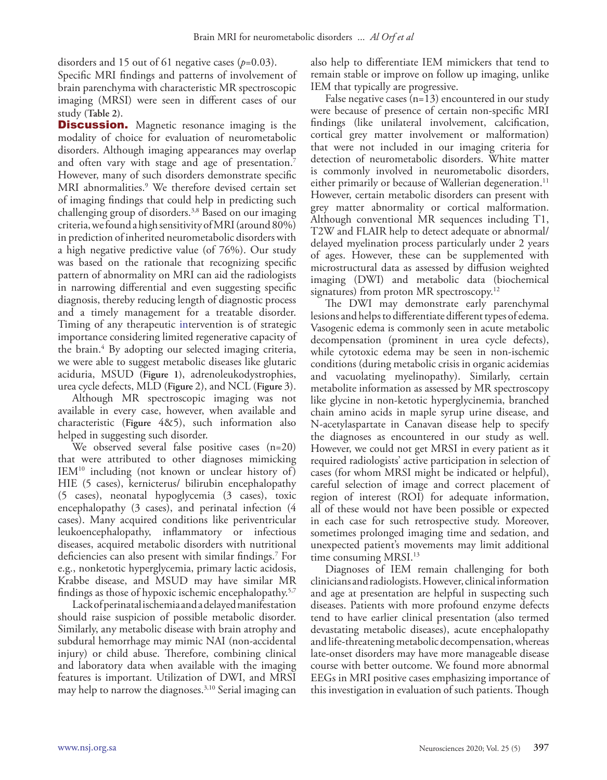disorders and 15 out of 61 negative cases (*p*=0.03).

Specific MRI findings and patterns of involvement of brain parenchyma with characteristic MR spectroscopic imaging (MRSI) were seen in different cases of our study **(Table 2)**.

**Discussion.** Magnetic resonance imaging is the modality of choice for evaluation of neurometabolic disorders. Although imaging appearances may overlap and often vary with stage and age of presentation.<sup>7</sup> However, many of such disorders demonstrate specific MRI abnormalities.9 We therefore devised certain set of imaging findings that could help in predicting such challenging group of disorders.3,8 Based on our imaging criteria, we found a high sensitivity of MRI (around 80%) in prediction of inherited neurometabolic disorders with a high negative predictive value (of 76%). Our study was based on the rationale that recognizing specific pattern of abnormality on MRI can aid the radiologists in narrowing differential and even suggesting specific diagnosis, thereby reducing length of diagnostic process and a timely management for a treatable disorder. Timing of any therapeutic intervention is of strategic importance considering limited regenerative capacity of the brain.<sup>4</sup> By adopting our selected imaging criteria, we were able to suggest metabolic diseases like glutaric aciduria, MSUD **(Figure 1)**, adrenoleukodystrophies, urea cycle defects, MLD (**Figure** 2), and NCL (**Figure** 3).

Although MR spectroscopic imaging was not available in every case, however, when available and characteristic (**Figure** 4&5), such information also helped in suggesting such disorder.

We observed several false positive cases (n=20) that were attributed to other diagnoses mimicking IEM10 including (not known or unclear history of) HIE (5 cases), kernicterus/ bilirubin encephalopathy (5 cases), neonatal hypoglycemia (3 cases), toxic encephalopathy (3 cases), and perinatal infection (4 cases). Many acquired conditions like periventricular leukoencephalopathy, inflammatory or infectious diseases, acquired metabolic disorders with nutritional deficiencies can also present with similar findings.7 For e.g., nonketotic hyperglycemia, primary lactic acidosis, Krabbe disease, and MSUD may have similar MR findings as those of hypoxic ischemic encephalopathy.5,7

Lack of perinatal ischemia and a delayed manifestation should raise suspicion of possible metabolic disorder. Similarly, any metabolic disease with brain atrophy and subdural hemorrhage may mimic NAI (non-accidental injury) or child abuse. Therefore, combining clinical and laboratory data when available with the imaging features is important. Utilization of DWI, and MRSI may help to narrow the diagnoses.3,10 Serial imaging can

also help to differentiate IEM mimickers that tend to remain stable or improve on follow up imaging, unlike IEM that typically are progressive.

False negative cases  $(n=13)$  encountered in our study were because of presence of certain non-specific MRI findings (like unilateral involvement, calcification, cortical grey matter involvement or malformation) that were not included in our imaging criteria for detection of neurometabolic disorders. White matter is commonly involved in neurometabolic disorders, either primarily or because of Wallerian degeneration.<sup>11</sup> However, certain metabolic disorders can present with grey matter abnormality or cortical malformation. Although conventional MR sequences including T1, T2W and FLAIR help to detect adequate or abnormal/ delayed myelination process particularly under 2 years of ages. However, these can be supplemented with microstructural data as assessed by diffusion weighted imaging (DWI) and metabolic data (biochemical signatures) from proton MR spectroscopy.12

The DWI may demonstrate early parenchymal lesions and helps to differentiate different types of edema. Vasogenic edema is commonly seen in acute metabolic decompensation (prominent in urea cycle defects), while cytotoxic edema may be seen in non-ischemic conditions (during metabolic crisis in organic acidemias and vacuolating myelinopathy). Similarly, certain metabolite information as assessed by MR spectroscopy like glycine in non-ketotic hyperglycinemia, branched chain amino acids in maple syrup urine disease, and N-acetylaspartate in Canavan disease help to specify the diagnoses as encountered in our study as well. However, we could not get MRSI in every patient as it required radiologists' active participation in selection of cases (for whom MRSI might be indicated or helpful), careful selection of image and correct placement of region of interest (ROI) for adequate information, all of these would not have been possible or expected in each case for such retrospective study. Moreover, sometimes prolonged imaging time and sedation, and unexpected patient's movements may limit additional time consuming MRSI.<sup>13</sup>

Diagnoses of IEM remain challenging for both clinicians and radiologists. However, clinical information and age at presentation are helpful in suspecting such diseases. Patients with more profound enzyme defects tend to have earlier clinical presentation (also termed devastating metabolic diseases), acute encephalopathy and life-threatening metabolic decompensation, whereas late-onset disorders may have more manageable disease course with better outcome. We found more abnormal EEGs in MRI positive cases emphasizing importance of this investigation in evaluation of such patients. Though